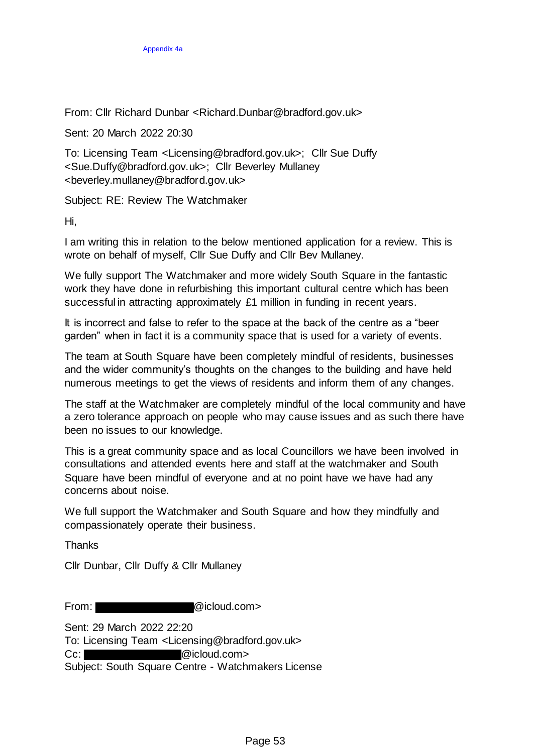From: Cllr Richard Dunbar <Richard.Dunbar@bradford.gov.uk>

Sent: 20 March 2022 20:30

To: Licensing Team <Licensing@bradford.gov.uk>; Cllr Sue Duffy <Sue.Duffy@bradford.gov.uk>; Cllr Beverley Mullaney <beverley.mullaney@bradford.gov.uk>

Subject: RE: Review The Watchmaker

Hi,

I am writing this in relation to the below mentioned application for a review. This is wrote on behalf of myself, Cllr Sue Duffy and Cllr Bev Mullaney.

We fully support The Watchmaker and more widely South Square in the fantastic work they have done in refurbishing this important cultural centre which has been successful in attracting approximately £1 million in funding in recent years.

It is incorrect and false to refer to the space at the back of the centre as a "beer garden" when in fact it is a community space that is used for a variety of events.

The team at South Square have been completely mindful of residents, businesses and the wider community's thoughts on the changes to the building and have held numerous meetings to get the views of residents and inform them of any changes.

The staff at the Watchmaker are completely mindful of the local community and have a zero tolerance approach on people who may cause issues and as such there have been no issues to our knowledge.

This is a great community space and as local Councillors we have been involved in consultations and attended events here and staff at the watchmaker and South Square have been mindful of everyone and at no point have we have had any concerns about noise.

We full support the Watchmaker and South Square and how they mindfully and compassionately operate their business.

**Thanks** 

Cllr Dunbar, Cllr Duffy & Cllr Mullaney

From: **and Company @icloud.com>** 

Sent: 29 March 2022 22:20

To: Licensing Team <Licensing@bradford.gov.uk>

Cc: @icloud.com>

Subject: South Square Centre - Watchmakers License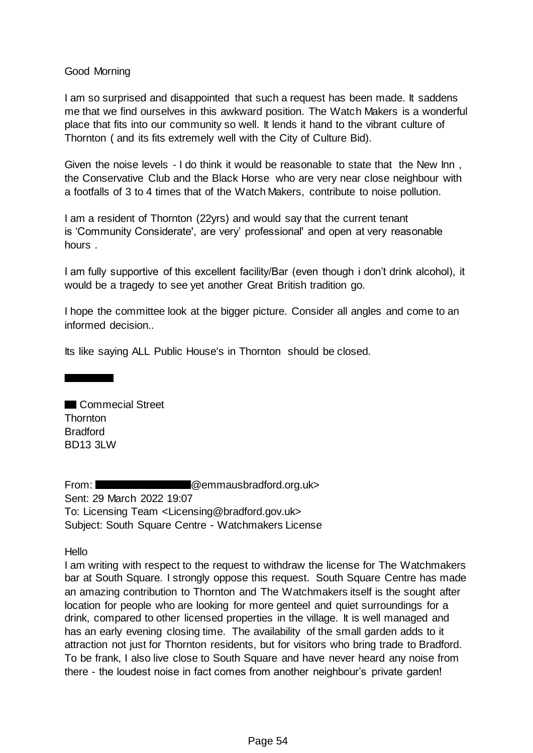Good Morning

I am so surprised and disappointed that such a request has been made. It saddens me that we find ourselves in this awkward position. The Watch Makers is a wonderful place that fits into our community so well. It lends it hand to the vibrant culture of Thornton ( and its fits extremely well with the City of Culture Bid).

Given the noise levels - I do think it would be reasonable to state that the New Inn , the Conservative Club and the Black Horse who are very near close neighbour with a footfalls of 3 to 4 times that of the Watch Makers, contribute to noise pollution.

I am a resident of Thornton (22yrs) and would say that the current tenant is 'Community Considerate', are very' professional' and open at very reasonable hours .

I am fully supportive of this excellent facility/Bar (even though i don't drink alcohol), it would be a tragedy to see yet another Great British tradition go.

I hope the committee look at the bigger picture. Consider all angles and come to an informed decision..

Its like saying ALL Public House's in Thornton should be closed.

Commecial Street **Thornton** Bradford BD13 3LW

the contract of the contract of

From: **Command-** @emmausbradford.org.uk> Sent: 29 March 2022 19:07 To: Licensing Team <Licensing@bradford.gov.uk> Subject: South Square Centre - Watchmakers License

Hello

I am writing with respect to the request to withdraw the license for The Watchmakers bar at South Square. I strongly oppose this request. South Square Centre has made an amazing contribution to Thornton and The Watchmakers itself is the sought after location for people who are looking for more genteel and quiet surroundings for a drink, compared to other licensed properties in the village. It is well managed and has an early evening closing time. The availability of the small garden adds to it attraction not just for Thornton residents, but for visitors who bring trade to Bradford. To be frank, I also live close to South Square and have never heard any noise from there - the loudest noise in fact comes from another neighbour's private garden!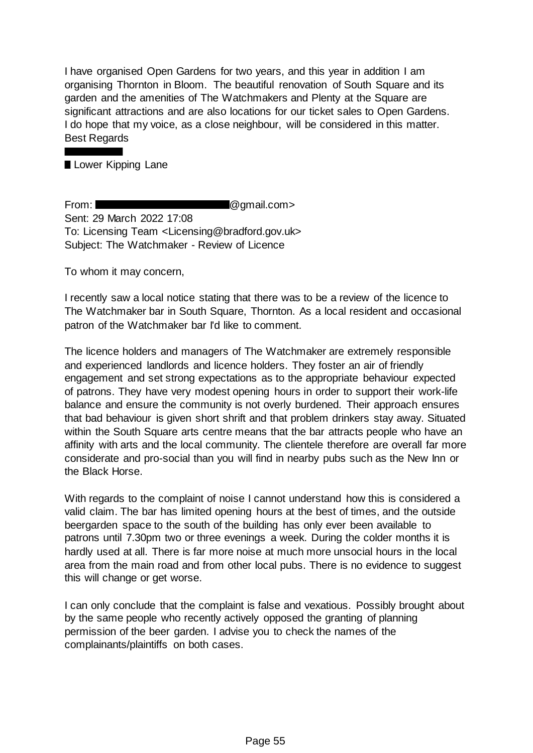I have organised Open Gardens for two years, and this year in addition I am organising Thornton in Bloom. The beautiful renovation of South Square and its garden and the amenities of The Watchmakers and Plenty at the Square are significant attractions and are also locations for our ticket sales to Open Gardens. I do hope that my voice, as a close neighbour, will be considered in this matter. Best Regards

### Lower Kipping Lane

From: **and Company Company @gmail.com** Sent: 29 March 2022 17:08 To: Licensing Team <Licensing@bradford.gov.uk> Subject: The Watchmaker - Review of Licence

To whom it may concern,

I recently saw a local notice stating that there was to be a review of the licence to The Watchmaker bar in South Square, Thornton. As a local resident and occasional patron of the Watchmaker bar I'd like to comment.

The licence holders and managers of The Watchmaker are extremely responsible and experienced landlords and licence holders. They foster an air of friendly engagement and set strong expectations as to the appropriate behaviour expected of patrons. They have very modest opening hours in order to support their work-life balance and ensure the community is not overly burdened. Their approach ensures that bad behaviour is given short shrift and that problem drinkers stay away. Situated within the South Square arts centre means that the bar attracts people who have an affinity with arts and the local community. The clientele therefore are overall far more considerate and pro-social than you will find in nearby pubs such as the New Inn or the Black Horse.

With regards to the complaint of noise I cannot understand how this is considered a valid claim. The bar has limited opening hours at the best of times, and the outside beergarden space to the south of the building has only ever been available to patrons until 7.30pm two or three evenings a week. During the colder months it is hardly used at all. There is far more noise at much more unsocial hours in the local area from the main road and from other local pubs. There is no evidence to suggest this will change or get worse.

I can only conclude that the complaint is false and vexatious. Possibly brought about by the same people who recently actively opposed the granting of planning permission of the beer garden. I advise you to check the names of the complainants/plaintiffs on both cases.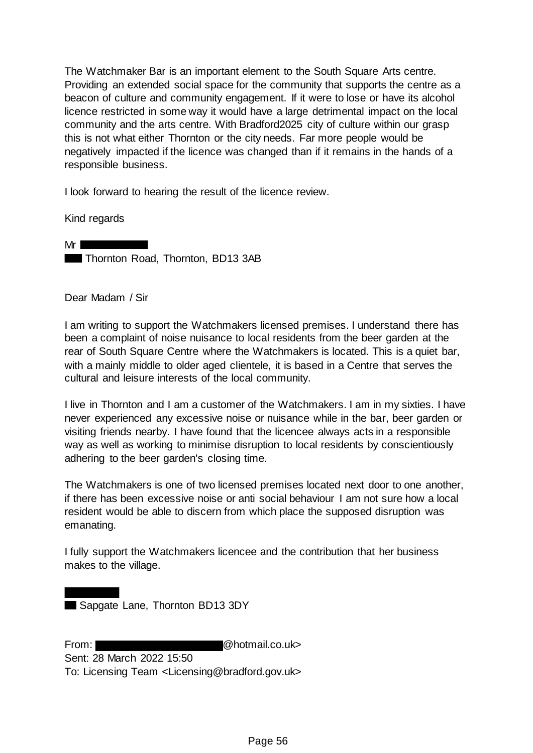The Watchmaker Bar is an important element to the South Square Arts centre. Providing an extended social space for the community that supports the centre as a beacon of culture and community engagement. If it were to lose or have its alcohol licence restricted in some way it would have a large detrimental impact on the local community and the arts centre. With Bradford2025 city of culture within our grasp this is not what either Thornton or the city needs. Far more people would be negatively impacted if the licence was changed than if it remains in the hands of a responsible business.

I look forward to hearing the result of the licence review.

Kind regards

Mr **International Structure** Thornton Road, Thornton, BD13 3AB

Dear Madam / Sir

I am writing to support the Watchmakers licensed premises. I understand there has been a complaint of noise nuisance to local residents from the beer garden at the rear of South Square Centre where the Watchmakers is located. This is a quiet bar, with a mainly middle to older aged clientele, it is based in a Centre that serves the cultural and leisure interests of the local community.

I live in Thornton and I am a customer of the Watchmakers. I am in my sixties. I have never experienced any excessive noise or nuisance while in the bar, beer garden or visiting friends nearby. I have found that the licencee always acts in a responsible way as well as working to minimise disruption to local residents by conscientiously adhering to the beer garden's closing time.

The Watchmakers is one of two licensed premises located next door to one another, if there has been excessive noise or anti social behaviour I am not sure how a local resident would be able to discern from which place the supposed disruption was emanating.

I fully support the Watchmakers licencee and the contribution that her business makes to the village.

Sapgate Lane, Thornton BD13 3DY

From: @hotmail.co.uk> Sent: 28 March 2022 15:50 To: Licensing Team <Licensing@bradford.gov.uk>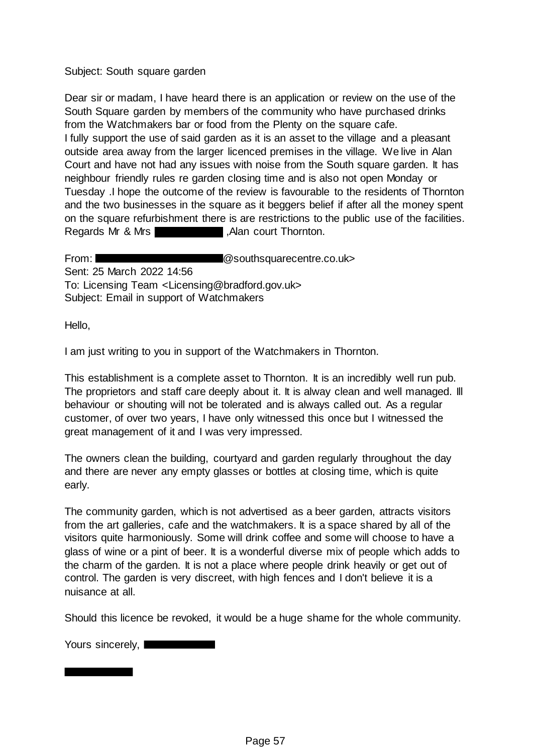### Subject: South square garden

Dear sir or madam, I have heard there is an application or review on the use of the South Square garden by members of the community who have purchased drinks from the Watchmakers bar or food from the Plenty on the square cafe. I fully support the use of said garden as it is an asset to the village and a pleasant outside area away from the larger licenced premises in the village. We live in Alan Court and have not had any issues with noise from the South square garden. It has neighbour friendly rules re garden closing time and is also not open Monday or Tuesday .I hope the outcome of the review is favourable to the residents of Thornton and the two businesses in the square as it beggers belief if after all the money spent on the square refurbishment there is are restrictions to the public use of the facilities. Regards Mr & Mrs **Example 20** Alan court Thornton.

From: **Example 20** Southsquarecentre.co.uk Sent: 25 March 2022 14:56 To: Licensing Team <Licensing@bradford.gov.uk> Subject: Email in support of Watchmakers

Hello,

I am just writing to you in support of the Watchmakers in Thornton.

This establishment is a complete asset to Thornton. It is an incredibly well run pub. The proprietors and staff care deeply about it. It is alway clean and well managed. Ill behaviour or shouting will not be tolerated and is always called out. As a regular customer, of over two years, I have only witnessed this once but I witnessed the great management of it and I was very impressed.

The owners clean the building, courtyard and garden regularly throughout the day and there are never any empty glasses or bottles at closing time, which is quite early.

The community garden, which is not advertised as a beer garden, attracts visitors from the art galleries, cafe and the watchmakers. It is a space shared by all of the visitors quite harmoniously. Some will drink coffee and some will choose to have a glass of wine or a pint of beer. It is a wonderful diverse mix of people which adds to the charm of the garden. It is not a place where people drink heavily or get out of control. The garden is very discreet, with high fences and I don't believe it is a nuisance at all.

Should this licence be revoked, it would be a huge shame for the whole community.

Yours sincerely,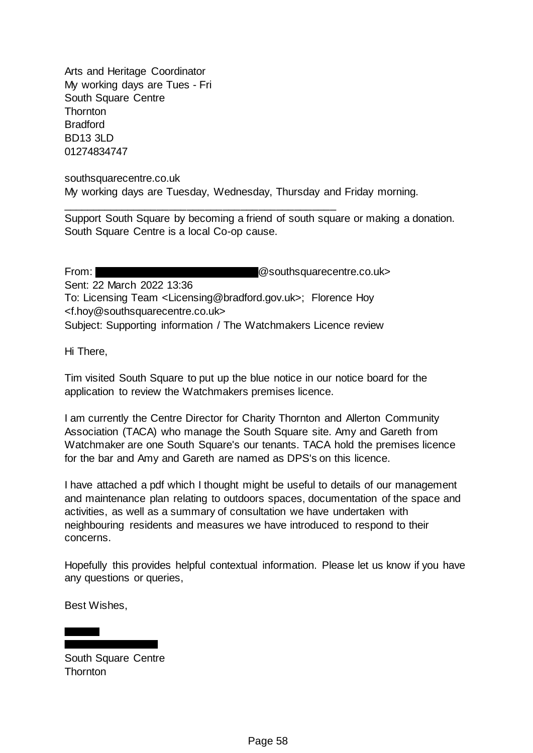Arts and Heritage Coordinator My working days are Tues - Fri South Square Centre **Thornton Bradford** BD13 3LD 01274834747

southsquarecentre.co.uk My working days are Tuesday, Wednesday, Thursday and Friday morning.

\_\_\_\_\_\_\_\_\_\_\_\_\_\_\_\_\_\_\_\_\_\_\_\_\_\_\_\_\_\_\_\_\_\_\_\_\_\_\_\_\_\_\_\_\_\_

Support South Square by becoming a friend of south square or making a donation. South Square Centre is a local Co-op cause.

From: **Example 20** From: **Example 20** Southsquarecentre.co.uk> Sent: 22 March 2022 13:36 To: Licensing Team <Licensing@bradford.gov.uk>; Florence Hoy <f.hoy@southsquarecentre.co.uk> Subject: Supporting information / The Watchmakers Licence review

Hi There,

Tim visited South Square to put up the blue notice in our notice board for the application to review the Watchmakers premises licence.

I am currently the Centre Director for Charity Thornton and Allerton Community Association (TACA) who manage the South Square site. Amy and Gareth from Watchmaker are one South Square's our tenants. TACA hold the premises licence for the bar and Amy and Gareth are named as DPS's on this licence.

I have attached a pdf which I thought might be useful to details of our management and maintenance plan relating to outdoors spaces, documentation of the space and activities, as well as a summary of consultation we have undertaken with neighbouring residents and measures we have introduced to respond to their concerns.

Hopefully this provides helpful contextual information. Please let us know if you have any questions or queries,

Best Wishes,

South Square Centre **Thornton**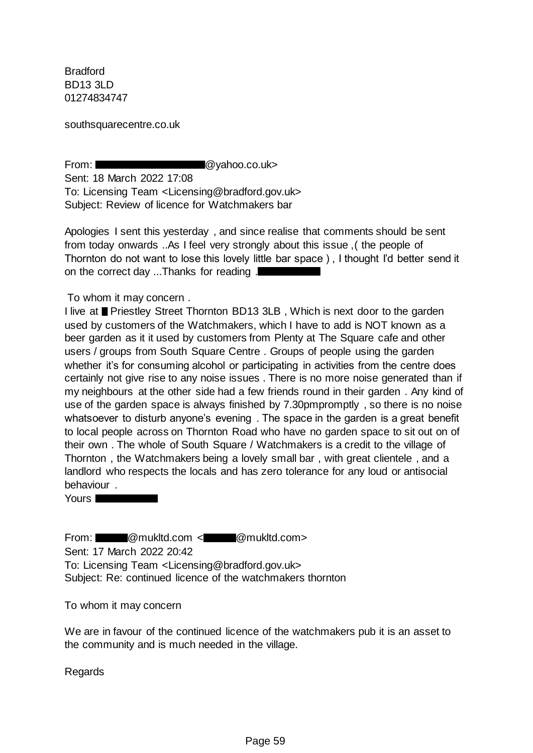Bradford BD13 3LD 01274834747

southsquarecentre.co.uk

From: **and Contract Contract Contract Contract Contract Contract Contract Contract Contract Contract Contract Contract Contract Contract Contract Contract Contract Contract Contract Contract Contract Contract Contract Cont** 

Sent: 18 March 2022 17:08 To: Licensing Team <Licensing@bradford.gov.uk> Subject: Review of licence for Watchmakers bar

Apologies I sent this yesterday , and since realise that comments should be sent from today onwards ..As I feel very strongly about this issue ,( the people of Thornton do not want to lose this lovely little bar space ) , I thought I'd better send it on the correct day ...Thanks for reading .

To whom it may concern .

I live at ■ Priestley Street Thornton BD13 3LB, Which is next door to the garden used by customers of the Watchmakers, which I have to add is NOT known as a beer garden as it it used by customers from Plenty at The Square cafe and other users / groups from South Square Centre . Groups of people using the garden whether it's for consuming alcohol or participating in activities from the centre does certainly not give rise to any noise issues . There is no more noise generated than if my neighbours at the other side had a few friends round in their garden . Any kind of use of the garden space is always finished by 7.30pmpromptly , so there is no noise whatsoever to disturb anyone's evening . The space in the garden is a great benefit to local people across on Thornton Road who have no garden space to sit out on of their own . The whole of South Square / Watchmakers is a credit to the village of Thornton , the Watchmakers being a lovely small bar , with great clientele , and a landlord who respects the locals and has zero tolerance for any loud or antisocial behaviour .

Yours **Notified the View Street** 

From: @mukltd.com < @mukltd.com> Sent: 17 March 2022 20:42 To: Licensing Team <Licensing@bradford.gov.uk> Subject: Re: continued licence of the watchmakers thornton

To whom it may concern

We are in favour of the continued licence of the watchmakers pub it is an asset to the community and is much needed in the village.

Regards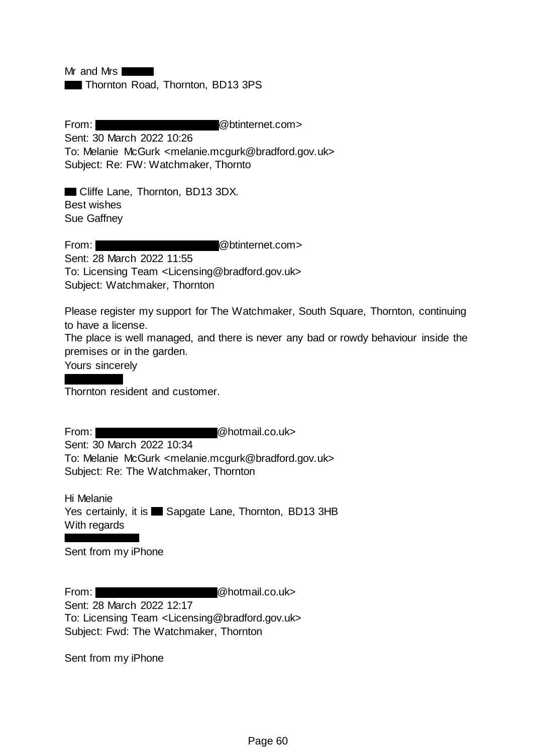Mr and Mrs

Thornton Road, Thornton, BD13 3PS

From: **and Company Company Company Company Company Company Company Company Company Company Company Company Company Company Company Company Company Company Company Company Company Company Company Company Company Company Com** Sent: 30 March 2022 10:26 To: Melanie McGurk <melanie.mcgurk@bradford.gov.uk> Subject: Re: FW: Watchmaker, Thornto

**Cliffe Lane, Thornton, BD13 3DX.** Best wishes Sue Gaffney

From: @btinternet.com> Sent: 28 March 2022 11:55 To: Licensing Team <Licensing@bradford.gov.uk> Subject: Watchmaker, Thornton

Please register my support for The Watchmaker, South Square, Thornton, continuing to have a license.

The place is well managed, and there is never any bad or rowdy behaviour inside the premises or in the garden.

Yours sincerely

Thornton resident and customer.

From: **@hotmail.co.uk>** 

Sent: 30 March 2022 10:34 To: Melanie McGurk <melanie.mcgurk@bradford.gov.uk> Subject: Re: The Watchmaker, Thornton

Hi Melanie Yes certainly, it is Sapgate Lane, Thornton, BD13 3HB With regards

Sent from my iPhone

From: @hotmail.co.uk> Sent: 28 March 2022 12:17 To: Licensing Team <Licensing@bradford.gov.uk> Subject: Fwd: The Watchmaker, Thornton

Sent from my iPhone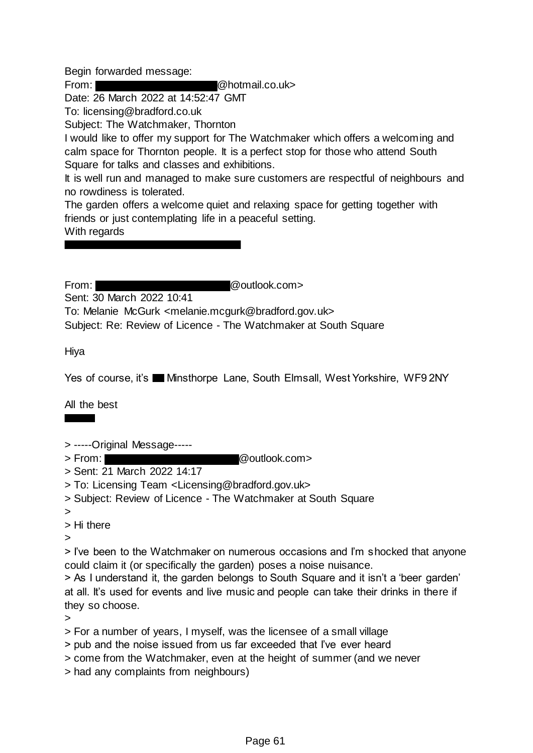Begin forwarded message:

From: @hotmail.co.uk>

Date: 26 March 2022 at 14:52:47 GMT

To: licensing@bradford.co.uk

Subject: The Watchmaker, Thornton

I would like to offer my support for The Watchmaker which offers a welcoming and calm space for Thornton people. It is a perfect stop for those who attend South Square for talks and classes and exhibitions.

It is well run and managed to make sure customers are respectful of neighbours and no rowdiness is tolerated.

The garden offers a welcome quiet and relaxing space for getting together with friends or just contemplating life in a peaceful setting.

With regards

From: @outlook.com>

Sent: 30 March 2022 10:41

To: Melanie McGurk <melanie.mcgurk@bradford.gov.uk>

Subject: Re: Review of Licence - The Watchmaker at South Square

Hiya

Yes of course, it's **Memothorme Lane, South Elmsall, West Yorkshire, WF9 2NY** 

All the best

> -----Original Message-----

> From: @outlook.com>

- > Sent: 21 March 2022 14:17
- > To: Licensing Team <Licensing@bradford.gov.uk>
- > Subject: Review of Licence The Watchmaker at South Square
- >

> Hi there

>

> I've been to the Watchmaker on numerous occasions and I'm shocked that anyone could claim it (or specifically the garden) poses a noise nuisance.

> As I understand it, the garden belongs to South Square and it isn't a 'beer garden' at all. It's used for events and live music and people can take their drinks in there if they so choose.

>

> For a number of years, I myself, was the licensee of a small village

- > pub and the noise issued from us far exceeded that I've ever heard
- > come from the Watchmaker, even at the height of summer (and we never
- > had any complaints from neighbours)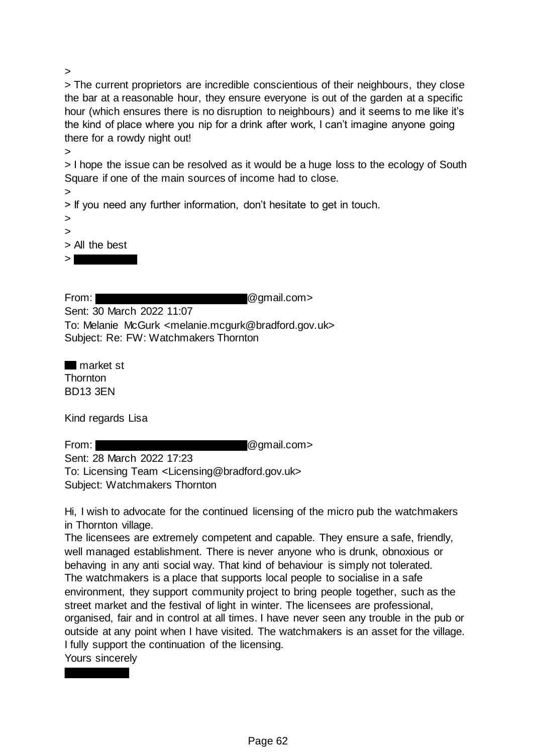>

> The current proprietors are incredible conscientious of their neighbours, they close the bar at a reasonable hour, they ensure everyone is out of the garden at a specific hour (which ensures there is no disruption to neighbours) and it seems to me like it's the kind of place where you nip for a drink after work, I can't imagine anyone going there for a rowdy night out!

> I hope the issue can be resolved as it would be a huge loss to the ecology of South Square if one of the main sources of income had to close.

> > If you need any further information, don't hesitate to get in touch.

> >

>

> All the best

 $>$ |

From: **and Company @gmail.com>** 

Sent: 30 March 2022 11:07 To: Melanie McGurk <melanie.mcgurk@bradford.gov.uk> Subject: Re: FW: Watchmakers Thornton

**market st Thornton** BD13 3EN

Kind regards Lisa

From: **and Company Company @gmail.com>** 

Sent: 28 March 2022 17:23 To: Licensing Team <Licensing@bradford.gov.uk> Subject: Watchmakers Thornton

Hi, I wish to advocate for the continued licensing of the micro pub the watchmakers in Thornton village.

The licensees are extremely competent and capable. They ensure a safe, friendly, well managed establishment. There is never anyone who is drunk, obnoxious or behaving in any anti social way. That kind of behaviour is simply not tolerated. The watchmakers is a place that supports local people to socialise in a safe environment, they support community project to bring people together, such as the street market and the festival of light in winter. The licensees are professional, organised, fair and in control at all times. I have never seen any trouble in the pub or outside at any point when I have visited. The watchmakers is an asset for the village. I fully support the continuation of the licensing.

Yours sincerely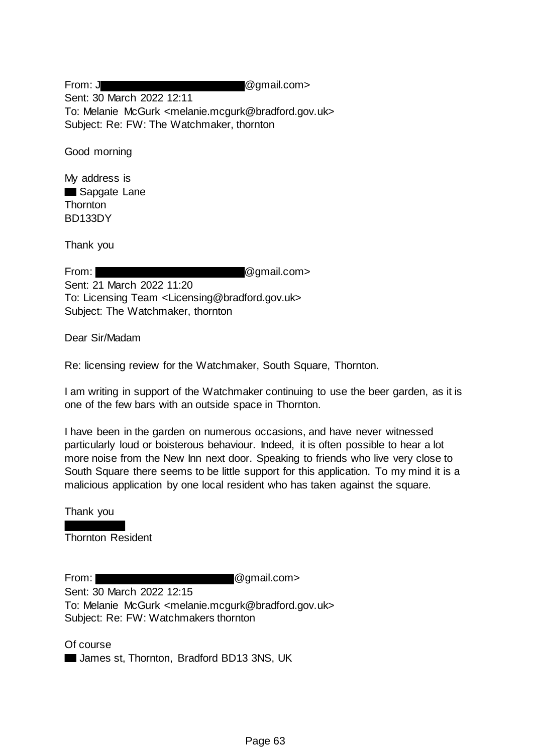From: J  $\qquad \qquad \qquad \textcircled{1}$ Sent: 30 March 2022 12:11 To: Melanie McGurk <melanie.mcgurk@bradford.gov.uk> Subject: Re: FW: The Watchmaker, thornton

Good morning

My address is Sapgate Lane **Thornton** BD133DY

Thank you

From: **and Community @gmail.com>** Sent: 21 March 2022 11:20 To: Licensing Team <Licensing@bradford.gov.uk> Subject: The Watchmaker, thornton

Dear Sir/Madam

Re: licensing review for the Watchmaker, South Square, Thornton.

I am writing in support of the Watchmaker continuing to use the beer garden, as it is one of the few bars with an outside space in Thornton.

I have been in the garden on numerous occasions, and have never witnessed particularly loud or boisterous behaviour. Indeed, it is often possible to hear a lot more noise from the New Inn next door. Speaking to friends who live very close to South Square there seems to be little support for this application. To my mind it is a malicious application by one local resident who has taken against the square.

Thank you

Thornton Resident

From: @gmail.com>

Sent: 30 March 2022 12:15 To: Melanie McGurk <melanie.mcgurk@bradford.gov.uk> Subject: Re: FW: Watchmakers thornton

Of course **James st, Thornton, Bradford BD13 3NS, UK**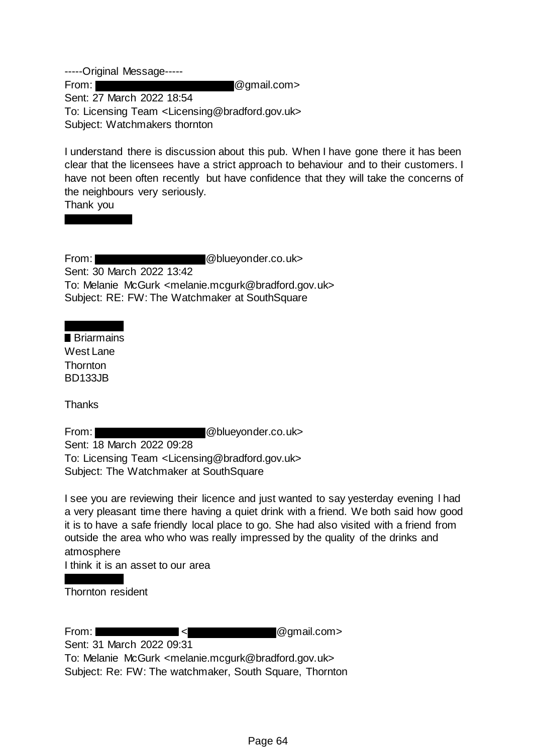-----Original Message----- From: **and Company Company @gmail.com>** Sent: 27 March 2022 18:54 To: Licensing Team <Licensing@bradford.gov.uk> Subject: Watchmakers thornton

I understand there is discussion about this pub. When I have gone there it has been clear that the licensees have a strict approach to behaviour and to their customers. I have not been often recently but have confidence that they will take the concerns of the neighbours very seriously.

Thank you

From: @blueyonder.co.uk> Sent: 30 March 2022 13:42 To: Melanie McGurk <melanie.mcgurk@bradford.gov.uk> Subject: RE: FW: The Watchmaker at SouthSquare

**Briarmains** West Lane **Thornton** BD133JB

**Thanks** 

From: **@blueyonder.co.uk>** 

Sent: 18 March 2022 09:28 To: Licensing Team <Licensing@bradford.gov.uk> Subject: The Watchmaker at SouthSquare

I see you are reviewing their licence and just wanted to say yesterday evening l had a very pleasant time there having a quiet drink with a friend. We both said how good it is to have a safe friendly local place to go. She had also visited with a friend from outside the area who who was really impressed by the quality of the drinks and atmosphere

I think it is an asset to our area

Thornton resident

From:  $\blacksquare$  <  $\blacksquare$   $\blacksquare$  @gmail.com> Sent: 31 March 2022 09:31 To: Melanie McGurk <melanie.mcgurk@bradford.gov.uk>

Subject: Re: FW: The watchmaker, South Square, Thornton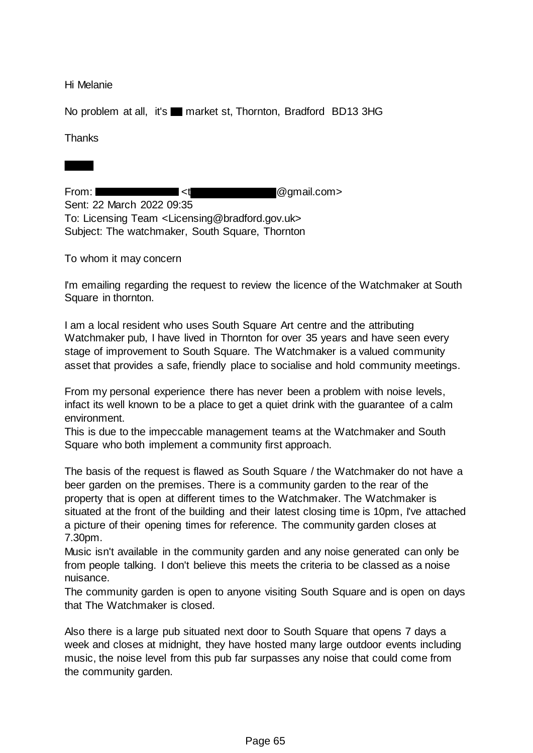Hi Melanie

No problem at all, it's market st, Thornton, Bradford BD13 3HG

**Thanks** 

From:  $\blacksquare$  <t  $\blacksquare$  <t  $\blacksquare$  @gmail.com> Sent: 22 March 2022 09:35 To: Licensing Team <Licensing@bradford.gov.uk> Subject: The watchmaker, South Square, Thornton

To whom it may concern

I'm emailing regarding the request to review the licence of the Watchmaker at South Square in thornton.

I am a local resident who uses South Square Art centre and the attributing Watchmaker pub, I have lived in Thornton for over 35 years and have seen every stage of improvement to South Square. The Watchmaker is a valued community asset that provides a safe, friendly place to socialise and hold community meetings.

From my personal experience there has never been a problem with noise levels, infact its well known to be a place to get a quiet drink with the guarantee of a calm environment.

This is due to the impeccable management teams at the Watchmaker and South Square who both implement a community first approach.

The basis of the request is flawed as South Square / the Watchmaker do not have a beer garden on the premises. There is a community garden to the rear of the property that is open at different times to the Watchmaker. The Watchmaker is situated at the front of the building and their latest closing time is 10pm, I've attached a picture of their opening times for reference. The community garden closes at 7.30pm.

Music isn't available in the community garden and any noise generated can only be from people talking. I don't believe this meets the criteria to be classed as a noise nuisance.

The community garden is open to anyone visiting South Square and is open on days that The Watchmaker is closed.

Also there is a large pub situated next door to South Square that opens 7 days a week and closes at midnight, they have hosted many large outdoor events including music, the noise level from this pub far surpasses any noise that could come from the community garden.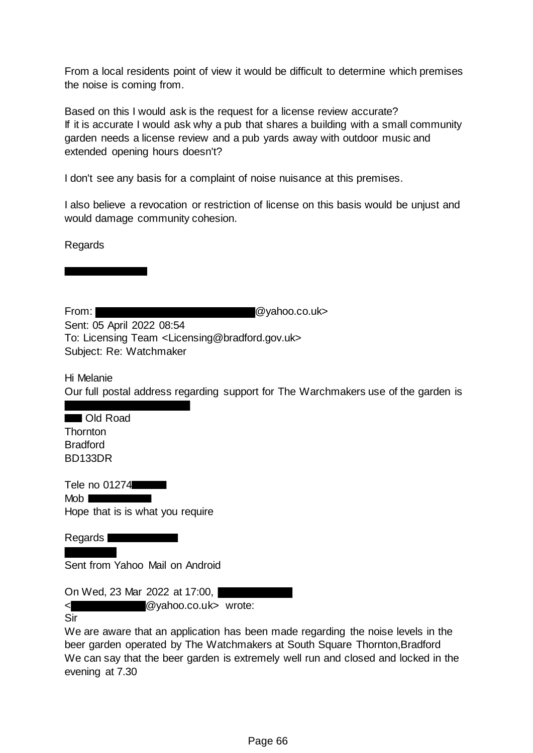From a local residents point of view it would be difficult to determine which premises the noise is coming from.

Based on this I would ask is the request for a license review accurate? If it is accurate I would ask why a pub that shares a building with a small community garden needs a license review and a pub yards away with outdoor music and extended opening hours doesn't?

I don't see any basis for a complaint of noise nuisance at this premises.

I also believe a revocation or restriction of license on this basis would be unjust and would damage community cohesion.

Regards

From: **Example 2018** Contract 2018 2018 2019 2019 2021 2022 2023

Sent: 05 April 2022 08:54 To: Licensing Team <Licensing@bradford.gov.uk> Subject: Re: Watchmaker

## Hi Melanie Our full postal address regarding support for The Warchmakers use of the garden is

## **Cold Road Thornton** Bradford BD133DR

Tele no 01274 Mob **Note** 

Hope that is is what you require

Regards **E** 

Sent from Yahoo Mail on Android

On Wed, 23 Mar 2022 at 17:00,

< @yahoo.co.uk> wrote:

Sir

We are aware that an application has been made regarding the noise levels in the beer garden operated by The Watchmakers at South Square Thornton,Bradford We can say that the beer garden is extremely well run and closed and locked in the evening at 7.30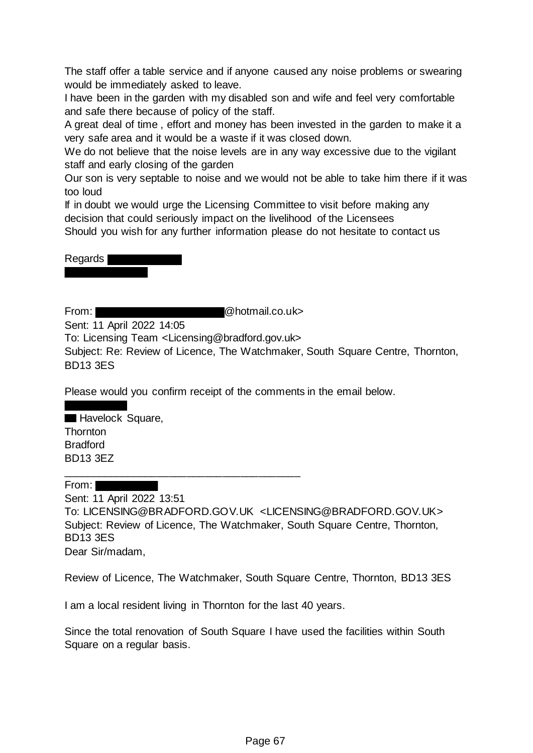The staff offer a table service and if anyone caused any noise problems or swearing would be immediately asked to leave.

I have been in the garden with my disabled son and wife and feel very comfortable and safe there because of policy of the staff.

A great deal of time , effort and money has been invested in the garden to make it a very safe area and it would be a waste if it was closed down.

We do not believe that the noise levels are in any way excessive due to the vigilant staff and early closing of the garden

Our son is very septable to noise and we would not be able to take him there if it was too loud

If in doubt we would urge the Licensing Committee to visit before making any decision that could seriously impact on the livelihood of the Licensees

Should you wish for any further information please do not hesitate to contact us



From: **and Contains Contains Contains Contains Contains Contains Contains Contains Contains Contains Contains Contains Contains Contains Contains Contains Contains Contains Contains Contains Contains Contains Contains Cont** 

Sent: 11 April 2022 14:05

To: Licensing Team <Licensing@bradford.gov.uk>

\_\_\_\_\_\_\_\_\_\_\_\_\_\_\_\_\_\_\_\_\_\_\_\_\_\_\_\_\_\_\_\_\_\_\_\_\_\_\_\_

Subject: Re: Review of Licence, The Watchmaker, South Square Centre, Thornton, BD13 3ES

Please would you confirm receipt of the comments in the email below.

**Havelock Square, Thornton** Bradford BD13 3EZ

From:

Sent: 11 April 2022 13:51 To: LICENSING@BRADFORD.GOV.UK <LICENSING@BRADFORD.GOV.UK> Subject: Review of Licence, The Watchmaker, South Square Centre, Thornton, BD13 3ES Dear Sir/madam,

Review of Licence, The Watchmaker, South Square Centre, Thornton, BD13 3ES

I am a local resident living in Thornton for the last 40 years.

Since the total renovation of South Square I have used the facilities within South Square on a regular basis.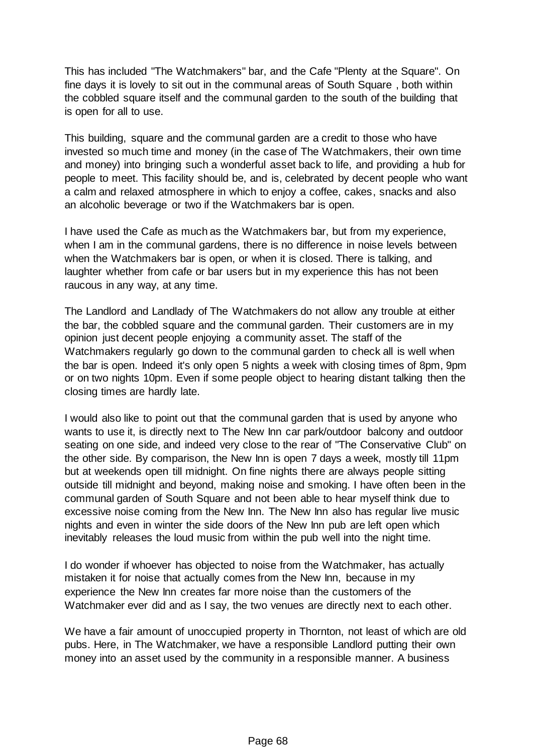This has included "The Watchmakers" bar, and the Cafe "Plenty at the Square". On fine days it is lovely to sit out in the communal areas of South Square , both within the cobbled square itself and the communal garden to the south of the building that is open for all to use.

This building, square and the communal garden are a credit to those who have invested so much time and money (in the case of The Watchmakers, their own time and money) into bringing such a wonderful asset back to life, and providing a hub for people to meet. This facility should be, and is, celebrated by decent people who want a calm and relaxed atmosphere in which to enjoy a coffee, cakes, snacks and also an alcoholic beverage or two if the Watchmakers bar is open.

I have used the Cafe as much as the Watchmakers bar, but from my experience, when I am in the communal gardens, there is no difference in noise levels between when the Watchmakers bar is open, or when it is closed. There is talking, and laughter whether from cafe or bar users but in my experience this has not been raucous in any way, at any time.

The Landlord and Landlady of The Watchmakers do not allow any trouble at either the bar, the cobbled square and the communal garden. Their customers are in my opinion just decent people enjoying a community asset. The staff of the Watchmakers regularly go down to the communal garden to check all is well when the bar is open. Indeed it's only open 5 nights a week with closing times of 8pm, 9pm or on two nights 10pm. Even if some people object to hearing distant talking then the closing times are hardly late.

I would also like to point out that the communal garden that is used by anyone who wants to use it, is directly next to The New Inn car park/outdoor balcony and outdoor seating on one side, and indeed very close to the rear of "The Conservative Club" on the other side. By comparison, the New Inn is open 7 days a week, mostly till 11pm but at weekends open till midnight. On fine nights there are always people sitting outside till midnight and beyond, making noise and smoking. I have often been in the communal garden of South Square and not been able to hear myself think due to excessive noise coming from the New Inn. The New Inn also has regular live music nights and even in winter the side doors of the New Inn pub are left open which inevitably releases the loud music from within the pub well into the night time.

I do wonder if whoever has objected to noise from the Watchmaker, has actually mistaken it for noise that actually comes from the New Inn, because in my experience the New Inn creates far more noise than the customers of the Watchmaker ever did and as I say, the two venues are directly next to each other.

We have a fair amount of unoccupied property in Thornton, not least of which are old pubs. Here, in The Watchmaker, we have a responsible Landlord putting their own money into an asset used by the community in a responsible manner. A business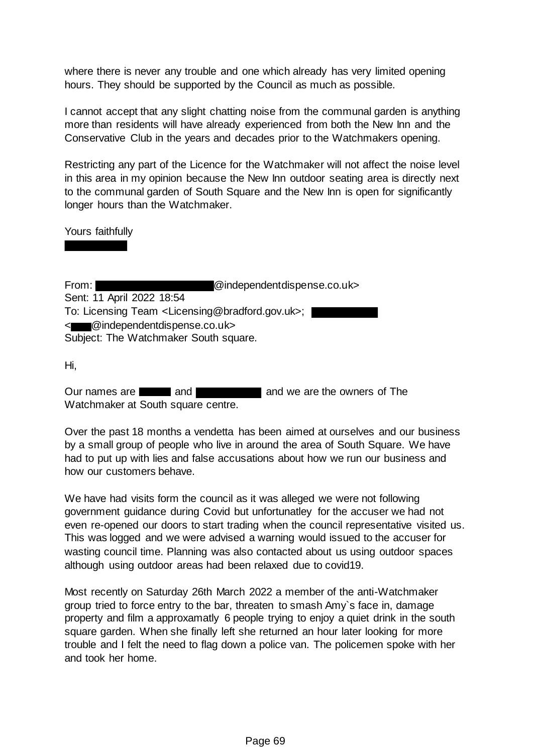where there is never any trouble and one which already has very limited opening hours. They should be supported by the Council as much as possible.

I cannot accept that any slight chatting noise from the communal garden is anything more than residents will have already experienced from both the New Inn and the Conservative Club in the years and decades prior to the Watchmakers opening.

Restricting any part of the Licence for the Watchmaker will not affect the noise level in this area in my opinion because the New Inn outdoor seating area is directly next to the communal garden of South Square and the New Inn is open for significantly longer hours than the Watchmaker.

Yours faithfully

From: @independentdispense.co.uk> Sent: 11 April 2022 18:54 To: Licensing Team <Licensing@bradford.gov.uk>; < @independentdispense.co.uk> Subject: The Watchmaker South square.

Hi,

Our names are **and and and and and and we are the owners of The** Watchmaker at South square centre.

Over the past 18 months a vendetta has been aimed at ourselves and our business by a small group of people who live in around the area of South Square. We have had to put up with lies and false accusations about how we run our business and how our customers behave.

We have had visits form the council as it was alleged we were not following government guidance during Covid but unfortunatley for the accuser we had not even re-opened our doors to start trading when the council representative visited us. This was logged and we were advised a warning would issued to the accuser for wasting council time. Planning was also contacted about us using outdoor spaces although using outdoor areas had been relaxed due to covid19.

Most recently on Saturday 26th March 2022 a member of the anti-Watchmaker group tried to force entry to the bar, threaten to smash Amy`s face in, damage property and film a approxamatly 6 people trying to enjoy a quiet drink in the south square garden. When she finally left she returned an hour later looking for more trouble and I felt the need to flag down a police van. The policemen spoke with her and took her home.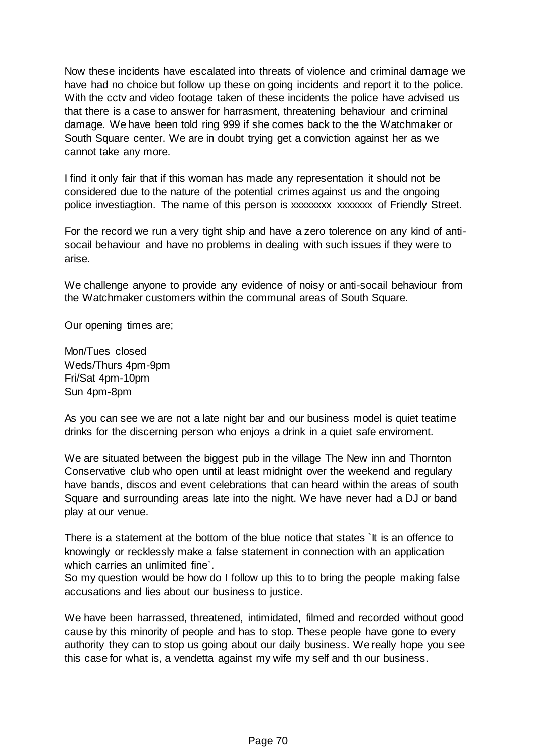Now these incidents have escalated into threats of violence and criminal damage we have had no choice but follow up these on going incidents and report it to the police. With the cctv and video footage taken of these incidents the police have advised us that there is a case to answer for harrasment, threatening behaviour and criminal damage. We have been told ring 999 if she comes back to the the Watchmaker or South Square center. We are in doubt trying get a conviction against her as we cannot take any more.

I find it only fair that if this woman has made any representation it should not be considered due to the nature of the potential crimes against us and the ongoing police investiagtion. The name of this person is xxxxxxxx xxxxxxx of Friendly Street.

For the record we run a very tight ship and have a zero tolerence on any kind of antisocail behaviour and have no problems in dealing with such issues if they were to arise.

We challenge anyone to provide any evidence of noisy or anti-socail behaviour from the Watchmaker customers within the communal areas of South Square.

Our opening times are;

Mon/Tues closed Weds/Thurs 4pm-9pm Fri/Sat 4pm-10pm Sun 4pm-8pm

As you can see we are not a late night bar and our business model is quiet teatime drinks for the discerning person who enjoys a drink in a quiet safe enviroment.

We are situated between the biggest pub in the village The New inn and Thornton Conservative club who open until at least midnight over the weekend and regulary have bands, discos and event celebrations that can heard within the areas of south Square and surrounding areas late into the night. We have never had a DJ or band play at our venue.

There is a statement at the bottom of the blue notice that states `It is an offence to knowingly or recklessly make a false statement in connection with an application which carries an unlimited fine`.

So my question would be how do I follow up this to to bring the people making false accusations and lies about our business to justice.

We have been harrassed, threatened, intimidated, filmed and recorded without good cause by this minority of people and has to stop. These people have gone to every authority they can to stop us going about our daily business. We really hope you see this case for what is, a vendetta against my wife my self and th our business.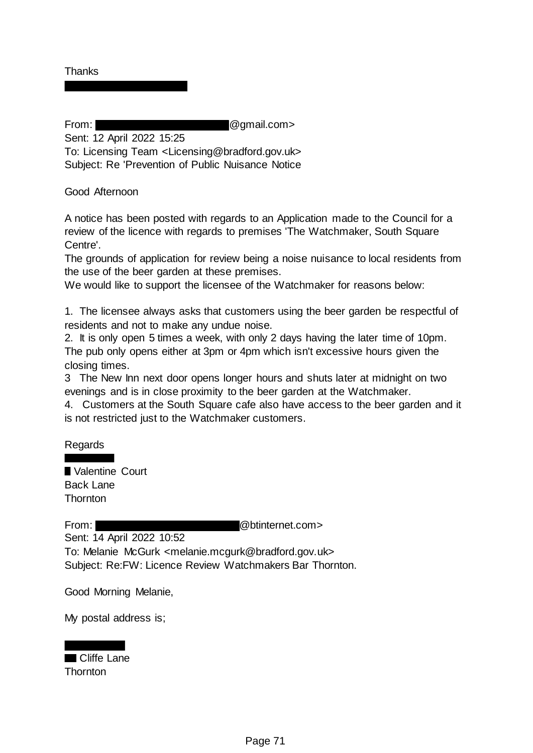**Thanks** 

From: **@gmail.com>** @gmail.com

Sent: 12 April 2022 15:25

To: Licensing Team <Licensing@bradford.gov.uk> Subject: Re 'Prevention of Public Nuisance Notice

Good Afternoon

A notice has been posted with regards to an Application made to the Council for a review of the licence with regards to premises 'The Watchmaker, South Square Centre'.

The grounds of application for review being a noise nuisance to local residents from the use of the beer garden at these premises.

We would like to support the licensee of the Watchmaker for reasons below:

1. The licensee always asks that customers using the beer garden be respectful of residents and not to make any undue noise.

2. It is only open 5 times a week, with only 2 days having the later time of 10pm. The pub only opens either at 3pm or 4pm which isn't excessive hours given the closing times.

3 The New Inn next door opens longer hours and shuts later at midnight on two evenings and is in close proximity to the beer garden at the Watchmaker.

4. Customers at the South Square cafe also have access to the beer garden and it is not restricted just to the Watchmaker customers.

Regards

Valentine Court Back Lane **Thornton** 

From: @btinternet.com>

Sent: 14 April 2022 10:52

To: Melanie McGurk <melanie.mcgurk@bradford.gov.uk> Subject: Re:FW: Licence Review Watchmakers Bar Thornton.

Good Morning Melanie,

My postal address is;

# Cliffe Lane

**Thornton**